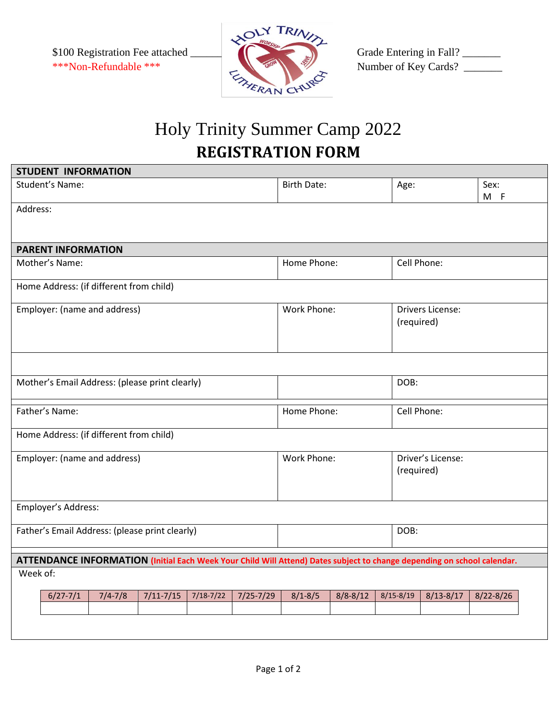

## Holy Trinity Summer Camp 2022 **REGISTRATION FORM**

| <b>STUDENT INFORMATION</b>                                                                                              |               |               |               |                            |              |                                       |                                 |               |  |
|-------------------------------------------------------------------------------------------------------------------------|---------------|---------------|---------------|----------------------------|--------------|---------------------------------------|---------------------------------|---------------|--|
| Student's Name:                                                                                                         |               |               |               | <b>Birth Date:</b>         |              | Age:                                  |                                 | Sex:<br>$M$ F |  |
| Address:                                                                                                                |               |               |               |                            |              |                                       |                                 |               |  |
| <b>PARENT INFORMATION</b>                                                                                               |               |               |               |                            |              |                                       |                                 |               |  |
| Mother's Name:                                                                                                          |               |               |               | Home Phone:<br>Cell Phone: |              |                                       |                                 |               |  |
| Home Address: (if different from child)                                                                                 |               |               |               |                            |              |                                       |                                 |               |  |
| Employer: (name and address)                                                                                            |               |               | Work Phone:   |                            |              | <b>Drivers License:</b><br>(required) |                                 |               |  |
|                                                                                                                         |               |               |               |                            |              | DOB:                                  |                                 |               |  |
| Mother's Email Address: (please print clearly)                                                                          |               |               |               |                            |              |                                       |                                 |               |  |
| Father's Name:                                                                                                          |               |               |               | Home Phone:                |              |                                       | Cell Phone:                     |               |  |
| Home Address: (if different from child)                                                                                 |               |               |               |                            |              |                                       |                                 |               |  |
| Employer: (name and address)                                                                                            |               |               |               | Work Phone:                |              |                                       | Driver's License:<br>(required) |               |  |
| Employer's Address:                                                                                                     |               |               |               |                            |              |                                       |                                 |               |  |
| Father's Email Address: (please print clearly)                                                                          |               |               |               |                            |              | DOB:                                  |                                 |               |  |
| ATTENDANCE INFORMATION (Initial Each Week Your Child Will Attend) Dates subject to change depending on school calendar. |               |               |               |                            |              |                                       |                                 |               |  |
| Week of:                                                                                                                |               |               |               |                            |              |                                       |                                 |               |  |
| $6/27 - 7/1$<br>$7/4 - 7/8$                                                                                             | $7/11 - 7/15$ | $7/18 - 7/22$ | $7/25 - 7/29$ | $8/1 - 8/5$                | $8/8 - 8/12$ | $8/15 - 8/19$                         | $8/13 - 8/17$                   | $8/22 - 8/26$ |  |
|                                                                                                                         |               |               |               |                            |              |                                       |                                 |               |  |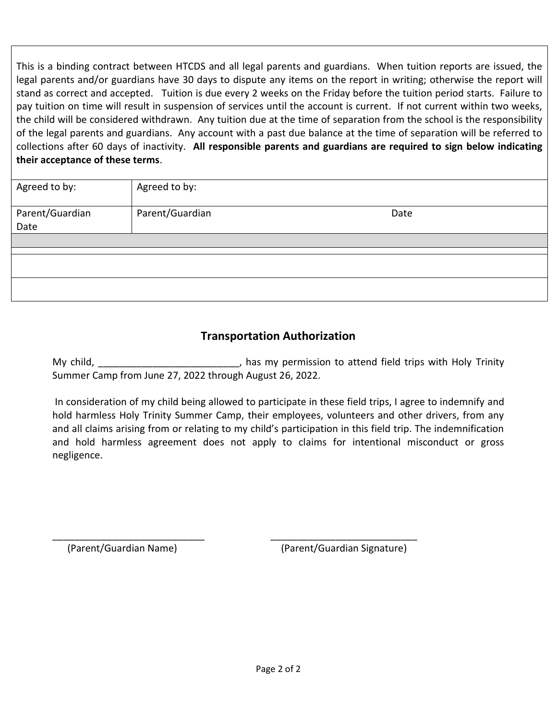This is a binding contract between HTCDS and all legal parents and guardians. When tuition reports are issued, the legal parents and/or guardians have 30 days to dispute any items on the report in writing; otherwise the report will stand as correct and accepted. Tuition is due every 2 weeks on the Friday before the tuition period starts. Failure to pay tuition on time will result in suspension of services until the account is current. If not current within two weeks, the child will be considered withdrawn. Any tuition due at the time of separation from the school is the responsibility of the legal parents and guardians. Any account with a past due balance at the time of separation will be referred to collections after 60 days of inactivity. **All responsible parents and guardians are required to sign below indicating their acceptance of these terms**.

| Agreed to by:   | Agreed to by:   |      |  |
|-----------------|-----------------|------|--|
| Parent/Guardian | Parent/Guardian | Date |  |
| Date            |                 |      |  |
|                 |                 |      |  |
|                 |                 |      |  |
|                 |                 |      |  |
|                 |                 |      |  |

## **Transportation Authorization**

My child, The same control of the matrice of the matrice of the matrice of the matrice of the matrice of the matrice of the matrice of the matrice of the matrice of the matrice of the matrice of the matrice of the matrice Summer Camp from June 27, 2022 through August 26, 2022.

In consideration of my child being allowed to participate in these field trips, I agree to indemnify and hold harmless Holy Trinity Summer Camp, their employees, volunteers and other drivers, from any and all claims arising from or relating to my child's participation in this field trip. The indemnification and hold harmless agreement does not apply to claims for intentional misconduct or gross negligence.

\_\_\_\_\_\_\_\_\_\_\_\_\_\_\_\_\_\_\_\_\_\_\_\_\_\_\_\_ \_\_\_\_\_\_\_\_\_\_\_\_\_\_\_\_\_\_\_\_\_\_\_\_\_\_\_

(Parent/Guardian Name) (Parent/Guardian Signature)